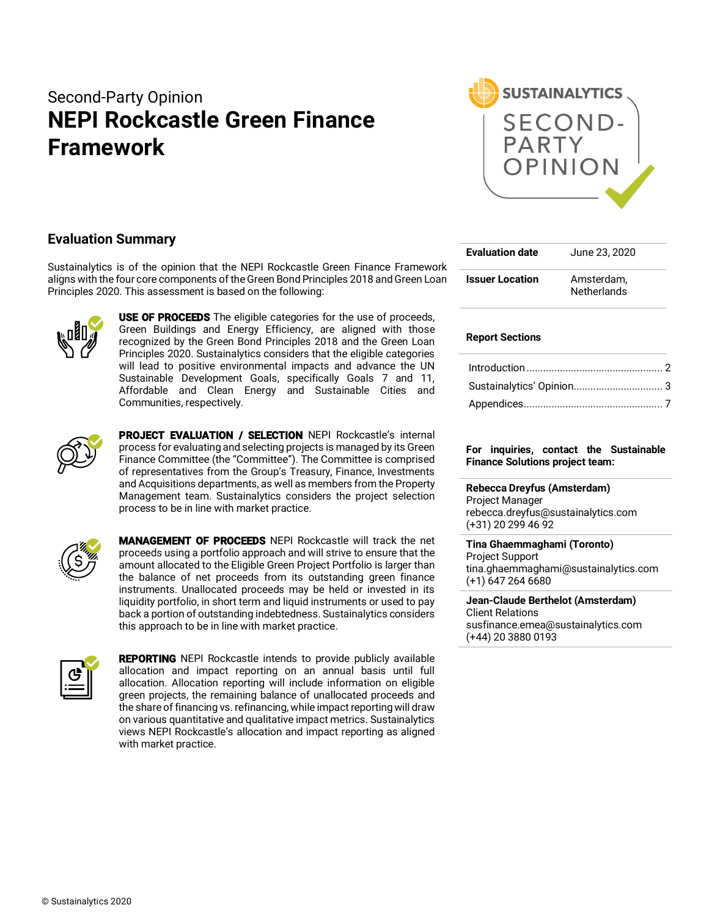# Second-Party Opinion **NEPI Rockcastle Green Finance Framework**



### **Evaluation Summary**

Sustainalytics is of the opinion that the NEPI Rockcastle Green Finance Framework aligns with the four core components of the Green Bond Principles 2018 and Green Loan Principles 2020. This assessment is based on the following:



**USE OF PROCEEDS** The eligible categories for the use of proceeds, Green Buildings and Energy Efficiency, are aligned with those recognized by the Green Bond Principles 2018 and the Green Loan Principles 2020. Sustainalytics considers that the eligible categories will lead to positive environmental impacts and advance the UN Sustainable Development Goals, specifically Goals 7 and 11, Affordable and Clean Energy and Sustainable Cities and Communities, respectively.



PROJECT EVALUATION / SELECTION NEPI Rockcastle's internal process for evaluating and selecting projects is managed by its Green Finance Committee (the "Committee"). The Committee is comprised of representatives from the Group's Treasury, Finance, Investments and Acquisitions departments, as well as members from the Property Management team. Sustainalytics considers the project selection process to be in line with market practice.



MANAGEMENT OF PROCEEDS NEPI Rockcastle will track the net proceeds using a portfolio approach and will strive to ensure that the amount allocated to the Eligible Green Project Portfolio is larger than the balance of net proceeds from its outstanding green finance instruments. Unallocated proceeds may be held or invested in its liquidity portfolio, in short term and liquid instruments or used to pay back a portion of outstanding indebtedness. Sustainalytics considers this approach to be in line with market practice.



**REPORTING** NEPI Rockcastle intends to provide publicly available allocation and impact reporting on an annual basis until full allocation. Allocation reporting will include information on eligible green projects, the remaining balance of unallocated proceeds and the share of financing vs. refinancing, while impact reporting will draw on various quantitative and qualitative impact metrics. Sustainalytics views NEPI Rockcastle's allocation and impact reporting as aligned with market practice.

| <b>Evaluation date</b> | June 23, 2020                    |
|------------------------|----------------------------------|
| <b>Issuer Location</b> | Amsterdam.<br><b>Netherlands</b> |

### **Report Sections**

#### **For inquiries, contact the Sustainable Finance Solutions project team:**

**Rebecca Dreyfus (Amsterdam)** Project Manager rebecca.dreyfus@sustainalytics.com (+31) 20 299 46 92

**Tina Ghaemmaghami (Toronto)** Project Support tina.ghaemmaghami@sustainalytics.com (+1) 647 264 6680

**Jean-Claude Berthelot (Amsterdam)** Client Relations susfinance.emea@sustainalytics.com (+44) 20 3880 0193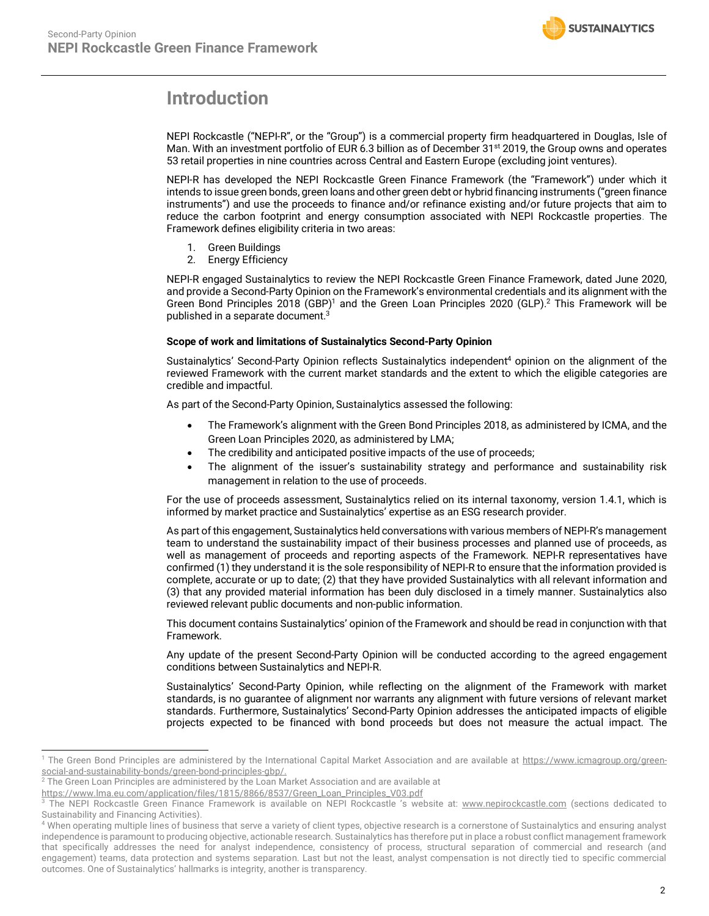

# **Introduction**

NEPI Rockcastle ("NEPI-R", or the "Group") is a commercial property firm headquartered in Douglas, Isle of Man. With an investment portfolio of EUR 6.3 billion as of December 31<sup>st</sup> 2019, the Group owns and operates 53 retail properties in nine countries across Central and Eastern Europe (excluding joint ventures).

NEPI-R has developed the NEPI Rockcastle Green Finance Framework (the "Framework") under which it intends to issue green bonds, green loans and other green debt or hybrid financing instruments ("green finance instruments") and use the proceeds to finance and/or refinance existing and/or future projects that aim to reduce the carbon footprint and energy consumption associated with NEPI Rockcastle properties. The Framework defines eligibility criteria in two areas:

- 1. Green Buildings
- 2. Energy Efficiency

NEPI-R engaged Sustainalytics to review the NEPI Rockcastle Green Finance Framework, dated June 2020, and provide a Second-Party Opinion on the Framework's environmental credentials and its alignment with the Green Bond Principles 2018 (GBP)<sup>1</sup> and the Green Loan Principles 2020 (GLP).<sup>2</sup> This Framework will be published in a separate document. $^3$ 

### **Scope of work and limitations of Sustainalytics Second-Party Opinion**

Sustainalytics' Second-Party Opinion reflects Sustainalytics independent<sup>4</sup> opinion on the alignment of the reviewed Framework with the current market standards and the extent to which the eligible categories are credible and impactful.

As part of the Second-Party Opinion, Sustainalytics assessed the following:

- The Framework's alignment with the Green Bond Principles 2018, as administered by ICMA, and the Green Loan Principles 2020, as administered by LMA;
- The credibility and anticipated positive impacts of the use of proceeds;
- The alignment of the issuer's sustainability strategy and performance and sustainability risk management in relation to the use of proceeds.

For the use of proceeds assessment, Sustainalytics relied on its internal taxonomy, version 1.4.1, which is informed by market practice and Sustainalytics' expertise as an ESG research provider.

As part of this engagement, Sustainalytics held conversations with various members of NEPI-R's management team to understand the sustainability impact of their business processes and planned use of proceeds, as well as management of proceeds and reporting aspects of the Framework. NEPI-R representatives have confirmed (1) they understand it is the sole responsibility of NEPI-R to ensure that the information provided is complete, accurate or up to date; (2) that they have provided Sustainalytics with all relevant information and (3) that any provided material information has been duly disclosed in a timely manner. Sustainalytics also reviewed relevant public documents and non-public information.

This document contains Sustainalytics' opinion of the Framework and should be read in conjunction with that Framework.

Any update of the present Second-Party Opinion will be conducted according to the agreed engagement conditions between Sustainalytics and NEPI-R.

Sustainalytics' Second-Party Opinion, while reflecting on the alignment of the Framework with market standards, is no guarantee of alignment nor warrants any alignment with future versions of relevant market standards. Furthermore, Sustainalytics' Second-Party Opinion addresses the anticipated impacts of eligible projects expected to be financed with bond proceeds but does not measure the actual impact. The

<sup>&</sup>lt;sup>1</sup> The Green Bond Principles are administered by the International Capital Market Association and are available at https://www.icmagroup.org/greensocial-and-sustainability-bonds/green-bond-principles-gbp/.

 $^2$  The Green Loan Principles are administered by the Loan Market Association and are available at

https://www.lma.eu.com/application/files/1815/8866/8537/Green\_Loan\_Principles\_V03.pdf

The NEPI Rockcastle Green Finance Framework is available on NEPI Rockcastle 's website at: www.nepirockcastle.com (sections dedicated to Sustainability and Financing Activities).

 $^4$  When operating multiple lines of business that serve a variety of client types, objective research is a cornerstone of Sustainalytics and ensuring analyst independence is paramount to producing objective, actionable research. Sustainalytics has therefore put in place a robust conflict management framework that specifically addresses the need for analyst independence, consistency of process, structural separation of commercial and research (and engagement) teams, data protection and systems separation. Last but not the least, analyst compensation is not directly tied to specific commercial outcomes. One of Sustainalytics' hallmarks is integrity, another is transparency.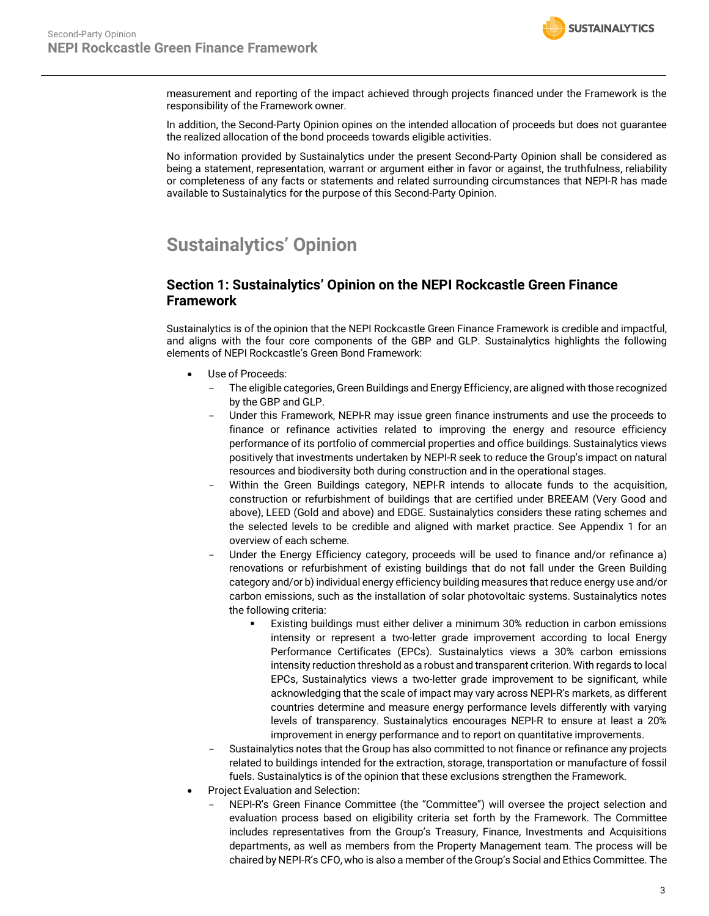measurement and reporting of the impact achieved through projects financed under the Framework is the responsibility of the Framework owner.

In addition, the Second-Party Opinion opines on the intended allocation of proceeds but does not guarantee the realized allocation of the bond proceeds towards eligible activities.

No information provided by Sustainalytics under the present Second-Party Opinion shall be considered as being a statement, representation, warrant or argument either in favor or against, the truthfulness, reliability or completeness of any facts or statements and related surrounding circumstances that NEPI-R has made available to Sustainalytics for the purpose of this Second-Party Opinion.

# **Sustainalytics' Opinion**

### **Section 1: Sustainalytics' Opinion on the NEPI Rockcastle Green Finance Framework**

Sustainalytics is of the opinion that the NEPI Rockcastle Green Finance Framework is credible and impactful, and aligns with the four core components of the GBP and GLP. Sustainalytics highlights the following elements of NEPI Rockcastle's Green Bond Framework:

- Use of Proceeds:
	- The eligible categories, Green Buildings and Energy Efficiency, are aligned with those recognized by the GBP and GLP.
	- Under this Framework, NEPI-R may issue green finance instruments and use the proceeds to finance or refinance activities related to improving the energy and resource efficiency performance of its portfolio of commercial properties and office buildings. Sustainalytics views positively that investments undertaken by NEPI-R seek to reduce the Group's impact on natural resources and biodiversity both during construction and in the operational stages.
	- Within the Green Buildings category, NEPI-R intends to allocate funds to the acquisition, construction or refurbishment of buildings that are certified under BREEAM (Very Good and above), LEED (Gold and above) and EDGE. Sustainalytics considers these rating schemes and the selected levels to be credible and aligned with market practice. See Appendix 1 for an overview of each scheme.
	- Under the Energy Efficiency category, proceeds will be used to finance and/or refinance a) renovations or refurbishment of existing buildings that do not fall under the Green Building category and/or b) individual energy efficiency building measures that reduce energy use and/or carbon emissions, such as the installation of solar photovoltaic systems. Sustainalytics notes the following criteria:
		- Existing buildings must either deliver a minimum 30% reduction in carbon emissions intensity or represent a two-letter grade improvement according to local Energy Performance Certificates (EPCs). Sustainalytics views a 30% carbon emissions intensity reduction threshold as a robust and transparent criterion. With regards to local EPCs, Sustainalytics views a two-letter grade improvement to be significant, while acknowledging that the scale of impact may vary across NEPI-R's markets, as different countries determine and measure energy performance levels differently with varying levels of transparency. Sustainalytics encourages NEPI-R to ensure at least a 20% improvement in energy performance and to report on quantitative improvements.
	- Sustainalytics notes that the Group has also committed to not finance or refinance any projects related to buildings intended for the extraction, storage, transportation or manufacture of fossil fuels. Sustainalytics is of the opinion that these exclusions strengthen the Framework.
- Project Evaluation and Selection:
	- NEPI-R's Green Finance Committee (the "Committee") will oversee the project selection and evaluation process based on eligibility criteria set forth by the Framework. The Committee includes representatives from the Group's Treasury, Finance, Investments and Acquisitions departments, as well as members from the Property Management team. The process will be chaired by NEPI-R's CFO, who is also a member of the Group's Social and Ethics Committee. The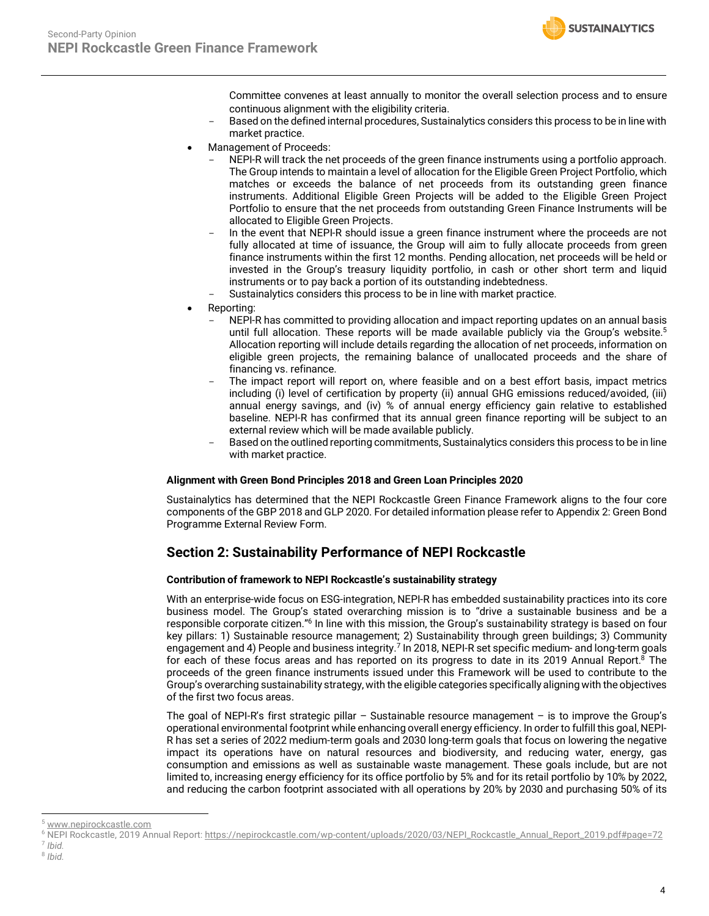

Committee convenes at least annually to monitor the overall selection process and to ensure continuous alignment with the eligibility criteria.

- Based on the defined internal procedures, Sustainalytics considers this process to be in line with market practice.
- Management of Proceeds:
	- NEPI-R will track the net proceeds of the green finance instruments using a portfolio approach. The Group intends to maintain a level of allocation for the Eligible Green Project Portfolio, which matches or exceeds the balance of net proceeds from its outstanding green finance instruments. Additional Eligible Green Projects will be added to the Eligible Green Project Portfolio to ensure that the net proceeds from outstanding Green Finance Instruments will be allocated to Eligible Green Projects.
	- In the event that NEPI-R should issue a green finance instrument where the proceeds are not fully allocated at time of issuance, the Group will aim to fully allocate proceeds from green finance instruments within the first 12 months. Pending allocation, net proceeds will be held or invested in the Group's treasury liquidity portfolio, in cash or other short term and liquid instruments or to pay back a portion of its outstanding indebtedness.
	- Sustainalytics considers this process to be in line with market practice.
- Reporting:
	- NEPI-R has committed to providing allocation and impact reporting updates on an annual basis until full allocation. These reports will be made available publicly via the Group's website.<sup>5</sup> Allocation reporting will include details regarding the allocation of net proceeds, information on eligible green projects, the remaining balance of unallocated proceeds and the share of financing vs. refinance.
	- The impact report will report on, where feasible and on a best effort basis, impact metrics including (i) level of certification by property (ii) annual GHG emissions reduced/avoided, (iii) annual energy savings, and (iv) % of annual energy efficiency gain relative to established baseline. NEPI-R has confirmed that its annual green finance reporting will be subject to an external review which will be made available publicly.
	- Based on the outlined reporting commitments, Sustainalytics considers this process to be in line with market practice.

#### **Alignment with Green Bond Principles 2018 and Green Loan Principles 2020**

Sustainalytics has determined that the NEPI Rockcastle Green Finance Framework aligns to the four core components of the GBP 2018 and GLP 2020. For detailed information please refer to Appendix 2: Green Bond Programme External Review Form.

### **Section 2: Sustainability Performance of NEPI Rockcastle**

#### **Contribution of framework to NEPI Rockcastle's sustainability strategy**

With an enterprise-wide focus on ESG-integration, NEPI-R has embedded sustainability practices into its core business model. The Group's stated overarching mission is to "drive a sustainable business and be a responsible corporate citizen."<sup>6</sup> In line with this mission, the Group's sustainability strategy is based on four key pillars: 1) Sustainable resource management; 2) Sustainability through green buildings; 3) Community engagement and 4) People and business integrity.<sup>7</sup> In 2018, NEPI-R set specific medium- and long-term goals for each of these focus areas and has reported on its progress to date in its 2019 Annual Report.<sup>8</sup> The proceeds of the green finance instruments issued under this Framework will be used to contribute to the Group's overarching sustainability strategy, with the eligible categories specifically aligning with the objectives of the first two focus areas.

The goal of NEPI-R's first strategic pillar – Sustainable resource management – is to improve the Group's operational environmental footprint while enhancing overall energy efficiency. In order to fulfill this goal, NEPI-R has set a series of 2022 medium-term goals and 2030 long-term goals that focus on lowering the negative impact its operations have on natural resources and biodiversity, and reducing water, energy, gas consumption and emissions as well as sustainable waste management. These goals include, but are not limited to, increasing energy efficiency for its office portfolio by 5% and for its retail portfolio by 10% by 2022, and reducing the carbon footprint associated with all operations by 20% by 2030 and purchasing 50% of its

www.nepirockcastle.com

<sup>&</sup>lt;sup>6</sup> NEPI Rockcastle, 2019 Annual Report: https://nepirockcastle.com/wp-content/uploads/2020/03/NEPI\_Rockcastle\_Annual\_Report\_2019.pdf#page=72  $<sup>7</sup>$  *Ibid.*</sup>

<sup>8</sup> *Ibid.*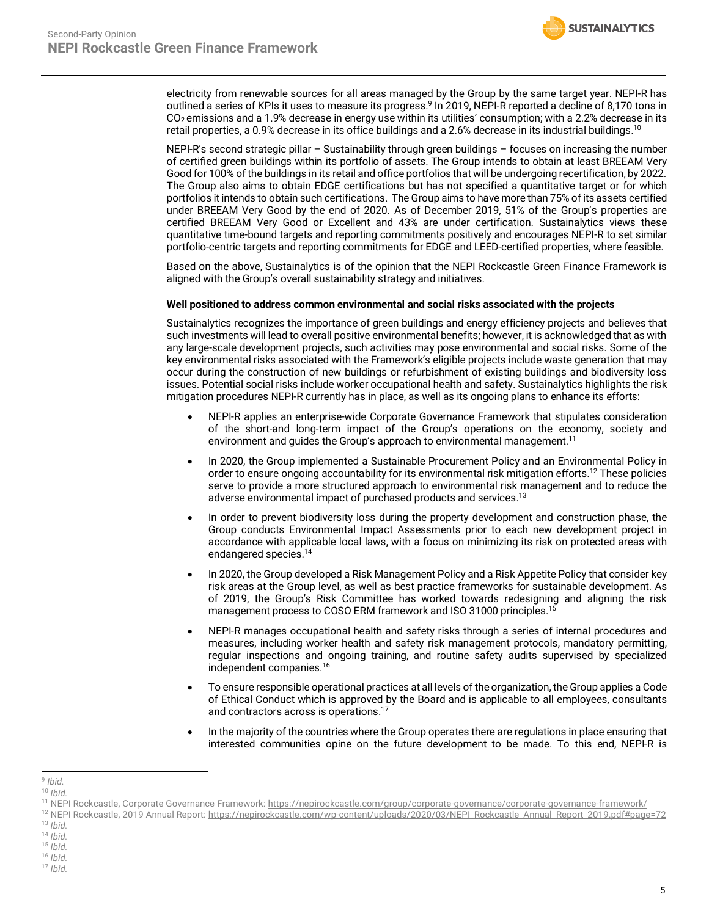electricity from renewable sources for all areas managed by the Group by the same target year. NEPI-R has outlined a series of KPIs it uses to measure its progress.<sup>9</sup> In 2019, NEPI-R reported a decline of 8,170 tons in CO2 emissions and a 1.9% decrease in energy use within its utilities' consumption; with a 2.2% decrease in its retail properties, a 0.9% decrease in its office buildings and a 2.6% decrease in its industrial buildings. 10

NEPI-R's second strategic pillar – Sustainability through green buildings – focuses on increasing the number of certified green buildings within its portfolio of assets. The Group intends to obtain at least BREEAM Very Good for 100% of the buildings in its retail and office portfolios that will be undergoing recertification, by 2022. The Group also aims to obtain EDGE certifications but has not specified a quantitative target or for which portfolios it intends to obtain such certifications. The Group aims to have more than 75% of its assets certified under BREEAM Very Good by the end of 2020. As of December 2019, 51% of the Group's properties are certified BREEAM Very Good or Excellent and 43% are under certification. Sustainalytics views these quantitative time-bound targets and reporting commitments positively and encourages NEPI-R to set similar portfolio-centric targets and reporting commitments for EDGE and LEED-certified properties, where feasible.

Based on the above, Sustainalytics is of the opinion that the NEPI Rockcastle Green Finance Framework is aligned with the Group's overall sustainability strategy and initiatives.

### **Well positioned to address common environmental and social risks associated with the projects**

Sustainalytics recognizes the importance of green buildings and energy efficiency projects and believes that such investments will lead to overall positive environmental benefits; however, it is acknowledged that as with any large-scale development projects, such activities may pose environmental and social risks. Some of the key environmental risks associated with the Framework's eligible projects include waste generation that may occur during the construction of new buildings or refurbishment of existing buildings and biodiversity loss issues. Potential social risks include worker occupational health and safety. Sustainalytics highlights the risk mitigation procedures NEPI-R currently has in place, as well as its ongoing plans to enhance its efforts:

- NEPI-R applies an enterprise-wide Corporate Governance Framework that stipulates consideration of the short-and long-term impact of the Group's operations on the economy, society and environment and guides the Group's approach to environmental management.<sup>11</sup>
- In 2020, the Group implemented a Sustainable Procurement Policy and an Environmental Policy in order to ensure ongoing accountability for its environmental risk mitigation efforts. <sup>12</sup> These policies serve to provide a more structured approach to environmental risk management and to reduce the adverse environmental impact of purchased products and services. 13
- In order to prevent biodiversity loss during the property development and construction phase, the Group conducts Environmental Impact Assessments prior to each new development project in accordance with applicable local laws, with a focus on minimizing its risk on protected areas with endangered species.14
- In 2020, the Group developed a Risk Management Policy and a Risk Appetite Policy that consider key risk areas at the Group level, as well as best practice frameworks for sustainable development. As of 2019, the Group's Risk Committee has worked towards redesigning and aligning the risk management process to COSO ERM framework and ISO 31000 principles.15
- NEPI-R manages occupational health and safety risks through a series of internal procedures and measures, including worker health and safety risk management protocols, mandatory permitting, regular inspections and ongoing training, and routine safety audits supervised by specialized independent companies. 16
- To ensure responsible operational practices at all levels of the organization, the Group applies a Code of Ethical Conduct which is approved by the Board and is applicable to all employees, consultants and contractors across is operations.17
- In the majority of the countries where the Group operates there are regulations in place ensuring that interested communities opine on the future development to be made. To this end, NEPI-R is

<sup>12</sup> NEPI Rockcastle, 2019 Annual Report: https://nepirockcastle.com/wp-content/uploads/2020/03/NEPI\_Rockcastle\_Annual\_Report\_2019.pdf#page=72<br><sup>13</sup> Ibid.

 <sup>9</sup> *Ibid.*

<sup>10</sup> *Ibid.*

<sup>11</sup> NEPI Rockcastle, Corporate Governance Framework: https://nepirockcastle.com/group/corporate-governance/corporate-governance-framework/

<sup>13</sup> *Ibid.* 14 *Ibid.*

<sup>15</sup> *Ibid.*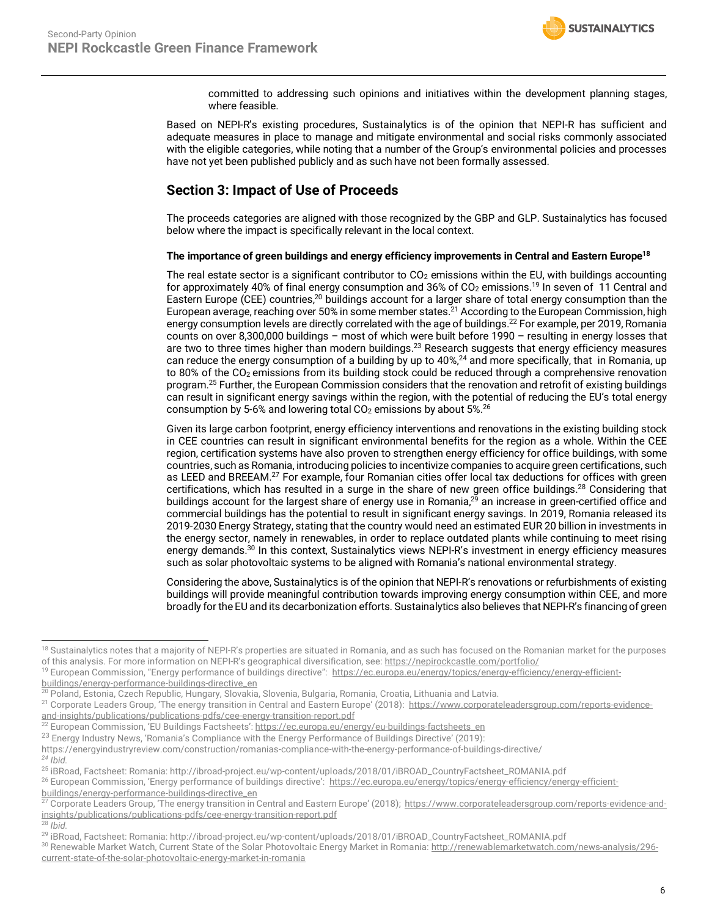committed to addressing such opinions and initiatives within the development planning stages, where feasible.

Based on NEPI-R's existing procedures, Sustainalytics is of the opinion that NEPI-R has sufficient and adequate measures in place to manage and mitigate environmental and social risks commonly associated with the eligible categories, while noting that a number of the Group's environmental policies and processes have not yet been published publicly and as such have not been formally assessed.

### **Section 3: Impact of Use of Proceeds**

The proceeds categories are aligned with those recognized by the GBP and GLP. Sustainalytics has focused below where the impact is specifically relevant in the local context.

### **The importance of green buildings and energy efficiency improvements in Central and Eastern Europe18**

The real estate sector is a significant contributor to  $CO<sub>2</sub>$  emissions within the EU, with buildings accounting for approximately 40% of final energy consumption and 36% of  $CO<sub>2</sub>$  emissions.<sup>19</sup> In seven of 11 Central and Eastern Europe (CEE) countries,<sup>20</sup> buildings account for a larger share of total energy consumption than the European average, reaching over 50% in some member states.<sup>21</sup> According to the European Commission, high energy consumption levels are directly correlated with the age of buildings. <sup>22</sup> For example, per 2019, Romania counts on over 8,300,000 buildings – most of which were built before 1990 – resulting in energy losses that are two to three times higher than modern buildings.<sup>23</sup> Research suggests that energy efficiency measures can reduce the energy consumption of a building by up to 40%,<sup>24</sup> and more specifically, that in Romania, up to 80% of the CO<sub>2</sub> emissions from its building stock could be reduced through a comprehensive renovation program.<sup>25</sup> Further, the European Commission considers that the renovation and retrofit of existing buildings can result in significant energy savings within the region, with the potential of reducing the EU's total energy consumption by 5-6% and lowering total  $CO<sub>2</sub>$  emissions by about 5%.<sup>26</sup>

Given its large carbon footprint, energy efficiency interventions and renovations in the existing building stock in CEE countries can result in significant environmental benefits for the region as a whole. Within the CEE region, certification systems have also proven to strengthen energy efficiency for office buildings, with some countries, such as Romania, introducing policies to incentivize companies to acquire green certifications, such as LEED and BREEAM.<sup>27</sup> For example, four Romanian cities offer local tax deductions for offices with green certifications, which has resulted in a surge in the share of new green office buildings.28 Considering that buildings account for the largest share of energy use in Romania,<sup>29</sup> an increase in green-certified office and commercial buildings has the potential to result in significant energy savings. In 2019, Romania released its 2019-2030 Energy Strategy, stating that the country would need an estimated EUR 20 billion in investments in the energy sector, namely in renewables, in order to replace outdated plants while continuing to meet rising energy demands.30 In this context, Sustainalytics views NEPI-R's investment in energy efficiency measures such as solar photovoltaic systems to be aligned with Romania's national environmental strategy.

Considering the above, Sustainalytics is of the opinion that NEPI-R's renovations or refurbishments of existing buildings will provide meaningful contribution towards improving energy consumption within CEE, and more broadly for the EU and its decarbonization efforts. Sustainalytics also believes that NEPI-R's financing of green

<sup>&</sup>lt;sup>18</sup> Sustainalytics notes that a majority of NEPI-R's properties are situated in Romania, and as such has focused on the Romanian market for the purposes of this analysis. For more information on NEPI-R's geographical diversification, see: https://nepirockcastle.com/portfolio/

<sup>&</sup>lt;sup>19</sup> European Commission, "Energy performance of buildings directive": https://ec.europa.eu/energy/topics/energy-efficiency/energy-efficientbuildings/energy-performance-buildings-directive\_en

<sup>&</sup>lt;sup>20</sup> Poland, Estonia, Czech Republic, Hungary, Slovakia, Slovenia, Bulgaria, Romania, Croatia, Lithuania and Latvia.

<sup>&</sup>lt;sup>21</sup> Corporate Leaders Group, 'The energy transition in Central and Eastern Europe' (2018): https://www.corporateleadersgroup.com/reports-evidenceand-insights/publications/publications-pdfs/cee-energy-transition-report.pdf

<sup>&</sup>lt;sup>22</sup> European Commission, 'EU Buildings Factsheets': https://ec.europa.eu/energy/eu-buildings-factsheets\_en

<sup>&</sup>lt;sup>23</sup> Energy Industry News, 'Romania's Compliance with the Energy Performance of Buildings Directive' (2019):

https://energyindustryreview.com/construction/romanias-compliance-with-the-energy-performance-of-buildings-directive/ *<sup>24</sup> Ibid.* 

<sup>25</sup> iBRoad, Factsheet: Romania: http://ibroad-project.eu/wp-content/uploads/2018/01/iBROAD\_CountryFactsheet\_ROMANIA.pdf

<sup>&</sup>lt;sup>26</sup> European Commission, 'Energy performance of buildings directive': https://ec.europa.eu/energy/topics/energy-efficiency/energy-efficientbuildings/energy-performance-buildings-directive\_en

<sup>27</sup> Corporate Leaders Group, 'The energy transition in Central and Eastern Europe' (2018); https://www.corporateleadersgroup.com/reports-evidence-andinsights/publications/publications-pdfs/cee-energy-transition-report.pdf <sup>28</sup> *Ibid.* 

<sup>29</sup> iBRoad, Factsheet: Romania: http://ibroad-project.eu/wp-content/uploads/2018/01/iBROAD\_CountryFactsheet\_ROMANIA.pdf

<sup>30</sup> Renewable Market Watch, Current State of the Solar Photovoltaic Energy Market in Romania: http://renewablemarketwatch.com/news-analysis/296current-state-of-the-solar-photovoltaic-energy-market-in-romania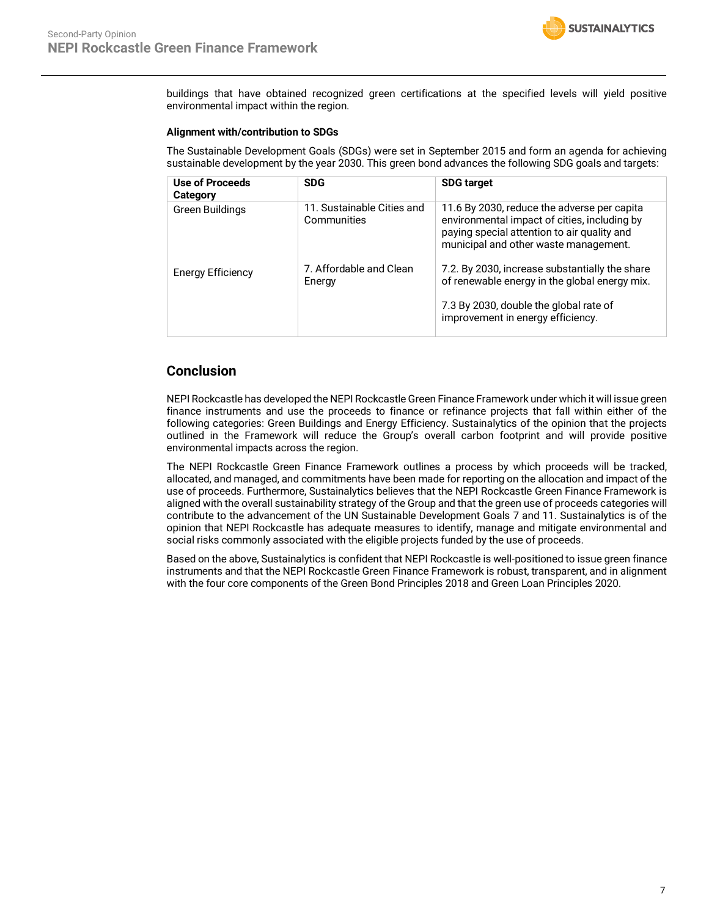

buildings that have obtained recognized green certifications at the specified levels will yield positive environmental impact within the region.

#### **Alignment with/contribution to SDGs**

The Sustainable Development Goals (SDGs) were set in September 2015 and form an agenda for achieving sustainable development by the year 2030. This green bond advances the following SDG goals and targets:

| Use of Proceeds<br>Category | <b>SDG</b>                                | <b>SDG target</b>                                                                                                                                                                   |
|-----------------------------|-------------------------------------------|-------------------------------------------------------------------------------------------------------------------------------------------------------------------------------------|
| Green Buildings             | 11. Sustainable Cities and<br>Communities | 11.6 By 2030, reduce the adverse per capita<br>environmental impact of cities, including by<br>paying special attention to air quality and<br>municipal and other waste management. |
| <b>Energy Efficiency</b>    | 7. Affordable and Clean<br>Energy         | 7.2. By 2030, increase substantially the share<br>of renewable energy in the global energy mix.<br>7.3 By 2030, double the global rate of<br>improvement in energy efficiency.      |

### **Conclusion**

NEPI Rockcastle has developed the NEPI Rockcastle Green Finance Framework under which it will issue green finance instruments and use the proceeds to finance or refinance projects that fall within either of the following categories: Green Buildings and Energy Efficiency. Sustainalytics of the opinion that the projects outlined in the Framework will reduce the Group's overall carbon footprint and will provide positive environmental impacts across the region.

The NEPI Rockcastle Green Finance Framework outlines a process by which proceeds will be tracked, allocated, and managed, and commitments have been made for reporting on the allocation and impact of the use of proceeds. Furthermore, Sustainalytics believes that the NEPI Rockcastle Green Finance Framework is aligned with the overall sustainability strategy of the Group and that the green use of proceeds categories will contribute to the advancement of the UN Sustainable Development Goals 7 and 11. Sustainalytics is of the opinion that NEPI Rockcastle has adequate measures to identify, manage and mitigate environmental and social risks commonly associated with the eligible projects funded by the use of proceeds.

Based on the above, Sustainalytics is confident that NEPI Rockcastle is well-positioned to issue green finance instruments and that the NEPI Rockcastle Green Finance Framework is robust, transparent, and in alignment with the four core components of the Green Bond Principles 2018 and Green Loan Principles 2020.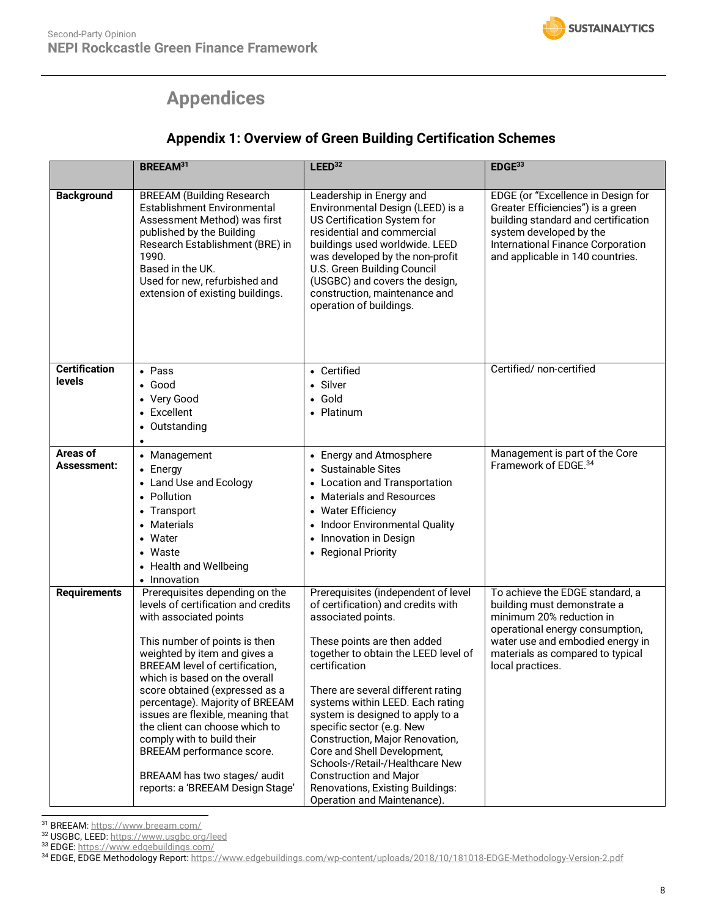# **Appendices**

## **Appendix 1: Overview of Green Building Certification Schemes**

|                                | <b>BREEAM31</b>                                                                                                                                                                                                                                                                                                                                                                                                                                                                                                       | LEED <sup>32</sup>                                                                                                                                                                                                                                                                                                                                                                                                                                                                                                                          | EDGE <sup>33</sup>                                                                                                                                                                                                        |
|--------------------------------|-----------------------------------------------------------------------------------------------------------------------------------------------------------------------------------------------------------------------------------------------------------------------------------------------------------------------------------------------------------------------------------------------------------------------------------------------------------------------------------------------------------------------|---------------------------------------------------------------------------------------------------------------------------------------------------------------------------------------------------------------------------------------------------------------------------------------------------------------------------------------------------------------------------------------------------------------------------------------------------------------------------------------------------------------------------------------------|---------------------------------------------------------------------------------------------------------------------------------------------------------------------------------------------------------------------------|
| <b>Background</b>              | <b>BREEAM (Building Research</b><br>Establishment Environmental<br>Assessment Method) was first<br>published by the Building<br>Research Establishment (BRE) in<br>1990.<br>Based in the UK.<br>Used for new, refurbished and<br>extension of existing buildings.                                                                                                                                                                                                                                                     | Leadership in Energy and<br>Environmental Design (LEED) is a<br>US Certification System for<br>residential and commercial<br>buildings used worldwide. LEED<br>was developed by the non-profit<br>U.S. Green Building Council<br>(USGBC) and covers the design,<br>construction, maintenance and<br>operation of buildings.                                                                                                                                                                                                                 | EDGE (or "Excellence in Design for<br>Greater Efficiencies") is a green<br>building standard and certification<br>system developed by the<br>International Finance Corporation<br>and applicable in 140 countries.        |
| <b>Certification</b><br>levels | • Pass<br>$\bullet$ Good<br>• Very Good<br>• Excellent<br>Outstanding<br>$\bullet$<br>$\bullet$                                                                                                                                                                                                                                                                                                                                                                                                                       | • Certified<br>• Silver<br>• Gold<br>• Platinum                                                                                                                                                                                                                                                                                                                                                                                                                                                                                             | Certified/ non-certified                                                                                                                                                                                                  |
| Areas of<br>Assessment:        | • Management<br>• Energy<br>• Land Use and Ecology<br>• Pollution<br>Transport<br>$\bullet$<br>Materials<br>Water<br>$\bullet$<br>Waste<br>$\bullet$<br><b>Health and Wellbeing</b><br>• Innovation                                                                                                                                                                                                                                                                                                                   | • Energy and Atmosphere<br>• Sustainable Sites<br>• Location and Transportation<br>• Materials and Resources<br>• Water Efficiency<br>• Indoor Environmental Quality<br>• Innovation in Design<br>• Regional Priority                                                                                                                                                                                                                                                                                                                       | Management is part of the Core<br>Framework of EDGE. <sup>34</sup>                                                                                                                                                        |
| <b>Requirements</b>            | Prerequisites depending on the<br>levels of certification and credits<br>with associated points<br>This number of points is then<br>weighted by item and gives a<br><b>BREEAM</b> level of certification,<br>which is based on the overall<br>score obtained (expressed as a<br>percentage). Majority of BREEAM<br>issues are flexible, meaning that<br>the client can choose which to<br>comply with to build their<br>BREEAM performance score.<br>BREAAM has two stages/ audit<br>reports: a 'BREEAM Design Stage' | Prerequisites (independent of level<br>of certification) and credits with<br>associated points.<br>These points are then added<br>together to obtain the LEED level of<br>certification<br>There are several different rating<br>systems within LEED. Each rating<br>system is designed to apply to a<br>specific sector (e.g. New<br>Construction, Major Renovation,<br>Core and Shell Development,<br>Schools-/Retail-/Healthcare New<br><b>Construction and Major</b><br>Renovations, Existing Buildings:<br>Operation and Maintenance). | To achieve the EDGE standard, a<br>building must demonstrate a<br>minimum 20% reduction in<br>operational energy consumption,<br>water use and embodied energy in<br>materials as compared to typical<br>local practices. |

 <sup>31</sup> BREEAM: https://www.breeam.com/

33 EDGE: https://www.edgebuildings.com/

<sup>&</sup>lt;sup>32</sup> USGBC, LEED: https://www.usgbc.org/leed

<sup>34</sup> EDGE, EDGE Methodology Report: https://www.edgebuildings.com/wp-content/uploads/2018/10/181018-EDGE-Methodology-Version-2.pdf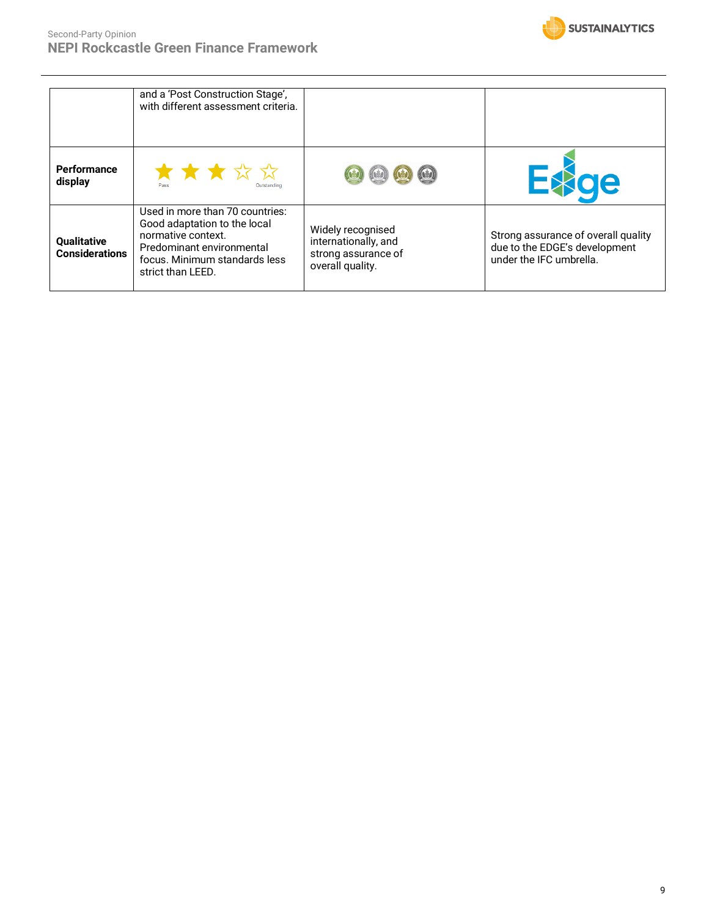

|                                      | and a 'Post Construction Stage',<br>with different assessment criteria.                                                                                                  |                                                                                      |                                                                                                 |
|--------------------------------------|--------------------------------------------------------------------------------------------------------------------------------------------------------------------------|--------------------------------------------------------------------------------------|-------------------------------------------------------------------------------------------------|
| <b>Performance</b><br>display        | ★★★☆☆                                                                                                                                                                    | (d) (d) (d)<br>$(\mathbf{t})$                                                        | <b>E</b> sige                                                                                   |
| Qualitative<br><b>Considerations</b> | Used in more than 70 countries:<br>Good adaptation to the local<br>normative context.<br>Predominant environmental<br>focus. Minimum standards less<br>strict than LEED. | Widely recognised<br>internationally, and<br>strong assurance of<br>overall quality. | Strong assurance of overall quality<br>due to the EDGE's development<br>under the IFC umbrella. |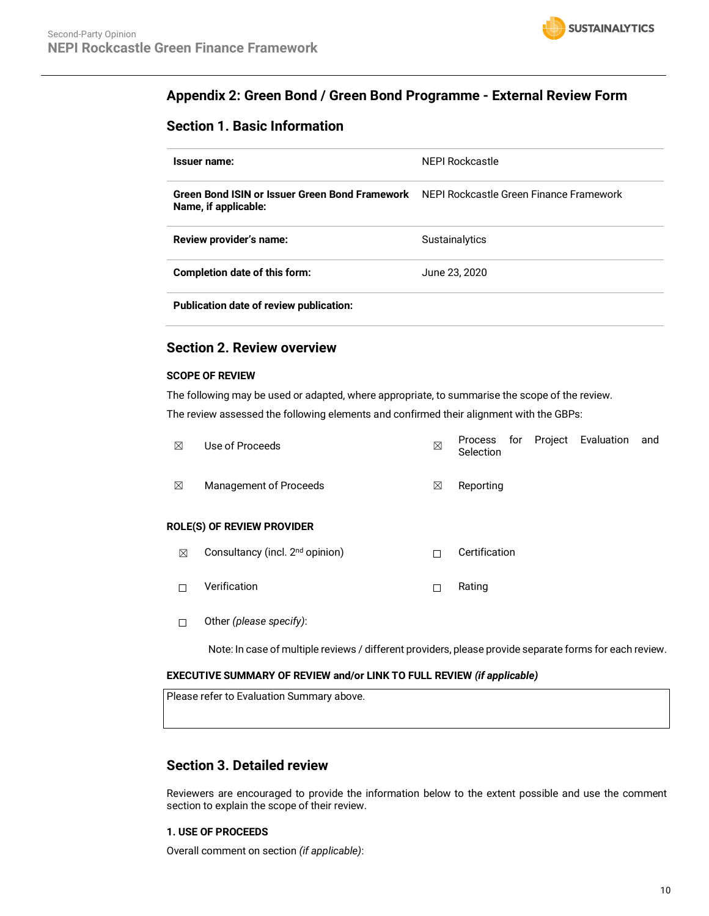### **Appendix 2: Green Bond / Green Bond Programme - External Review Form**

### **Section 1. Basic Information**

| Issuer name:                                                                                                   | <b>NEPI Rockcastle</b> |
|----------------------------------------------------------------------------------------------------------------|------------------------|
| Green Bond ISIN or Issuer Green Bond Framework NEPI Rockcastle Green Finance Framework<br>Name, if applicable: |                        |
| Review provider's name:                                                                                        | <b>Sustainalytics</b>  |
| Completion date of this form:                                                                                  | June 23, 2020          |
| <b>Publication date of review publication:</b>                                                                 |                        |

### **Section 2. Review overview**

### **SCOPE OF REVIEW**

The following may be used or adapted, where appropriate, to summarise the scope of the review.

The review assessed the following elements and confirmed their alignment with the GBPs:

| ⊠ | Use of Proceeds        | ⊠ | Selection |  | Process for Project Evaluation and |  |
|---|------------------------|---|-----------|--|------------------------------------|--|
| ⊠ | Management of Proceeds | ⊠ | Reporting |  |                                    |  |

### **ROLE(S) OF REVIEW PROVIDER**

- $\boxtimes$  Consultancy (incl. 2<sup>nd</sup> opinion)  $\Box$  Certification
- ☐ Verification ☐ Rating
- ☐ Other *(please specify)*:

Note: In case of multiple reviews / different providers, please provide separate forms for each review.

### **EXECUTIVE SUMMARY OF REVIEW and/or LINK TO FULL REVIEW** *(if applicable)*

Please refer to Evaluation Summary above.

### **Section 3. Detailed review**

Reviewers are encouraged to provide the information below to the extent possible and use the comment section to explain the scope of their review.

### **1. USE OF PROCEEDS**

Overall comment on section *(if applicable)*: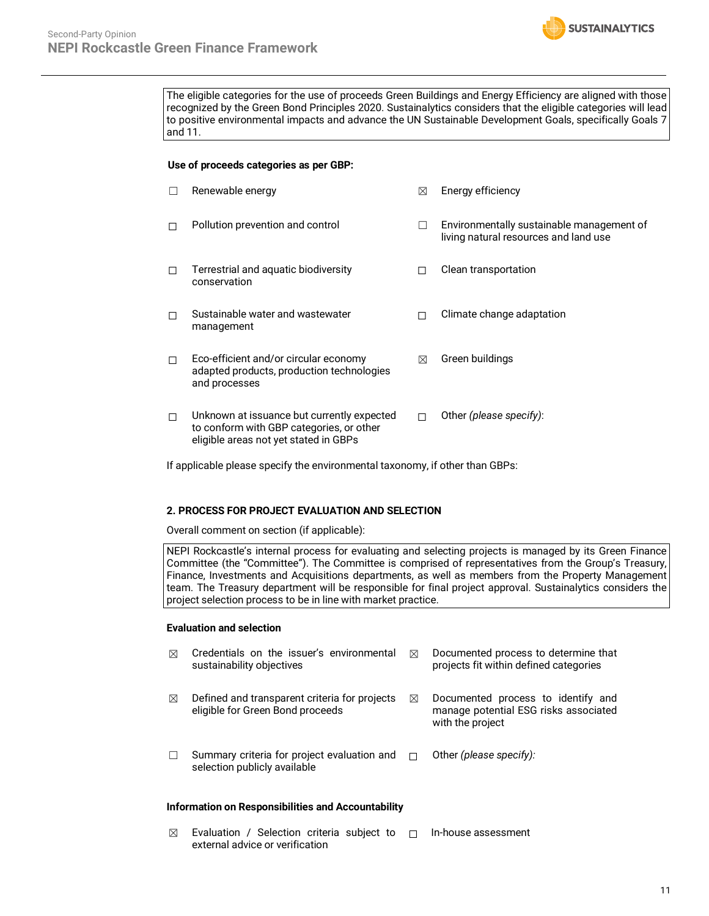The eligible categories for the use of proceeds Green Buildings and Energy Efficiency are aligned with those recognized by the Green Bond Principles 2020. Sustainalytics considers that the eligible categories will lead to positive environmental impacts and advance the UN Sustainable Development Goals, specifically Goals 7 and 11.

**SUSTAINALYTICS** 

### **Use of proceeds categories as per GBP:**

|   | Renewable energy                                                                                                                | ⊠ | Energy efficiency                                                                  |
|---|---------------------------------------------------------------------------------------------------------------------------------|---|------------------------------------------------------------------------------------|
| П | Pollution prevention and control                                                                                                | П | Environmentally sustainable management of<br>living natural resources and land use |
| П | Terrestrial and aquatic biodiversity<br>conservation                                                                            | H | Clean transportation                                                               |
| П | Sustainable water and wastewater<br>management                                                                                  |   | Climate change adaptation                                                          |
| П | Eco-efficient and/or circular economy<br>adapted products, production technologies<br>and processes                             | ⊠ | Green buildings                                                                    |
| П | Unknown at issuance but currently expected<br>to conform with GBP categories, or other<br>eligible areas not yet stated in GBPs | П | Other (please specify):                                                            |

If applicable please specify the environmental taxonomy, if other than GBPs:

### **2. PROCESS FOR PROJECT EVALUATION AND SELECTION**

Overall comment on section (if applicable):

NEPI Rockcastle's internal process for evaluating and selecting projects is managed by its Green Finance Committee (the "Committee"). The Committee is comprised of representatives from the Group's Treasury, Finance, Investments and Acquisitions departments, as well as members from the Property Management team. The Treasury department will be responsible for final project approval. Sustainalytics considers the project selection process to be in line with market practice.

### **Evaluation and selection**

| ⊠ | Credentials on the issuer's environmental<br>sustainability objectives            | ⊠      | Documented process to determine that<br>projects fit within defined categories                  |
|---|-----------------------------------------------------------------------------------|--------|-------------------------------------------------------------------------------------------------|
| ⊠ | Defined and transparent criteria for projects<br>eligible for Green Bond proceeds | ⊠      | Documented process to identify and<br>manage potential ESG risks associated<br>with the project |
|   | Summary criteria for project evaluation and<br>selection publicly available       | $\Box$ | Other (please specify):                                                                         |

### **Information on Responsibilities and Accountability**

 $\boxtimes$  Evaluation / Selection criteria subject to  $\Box$ external advice or verification ☐ In-house assessment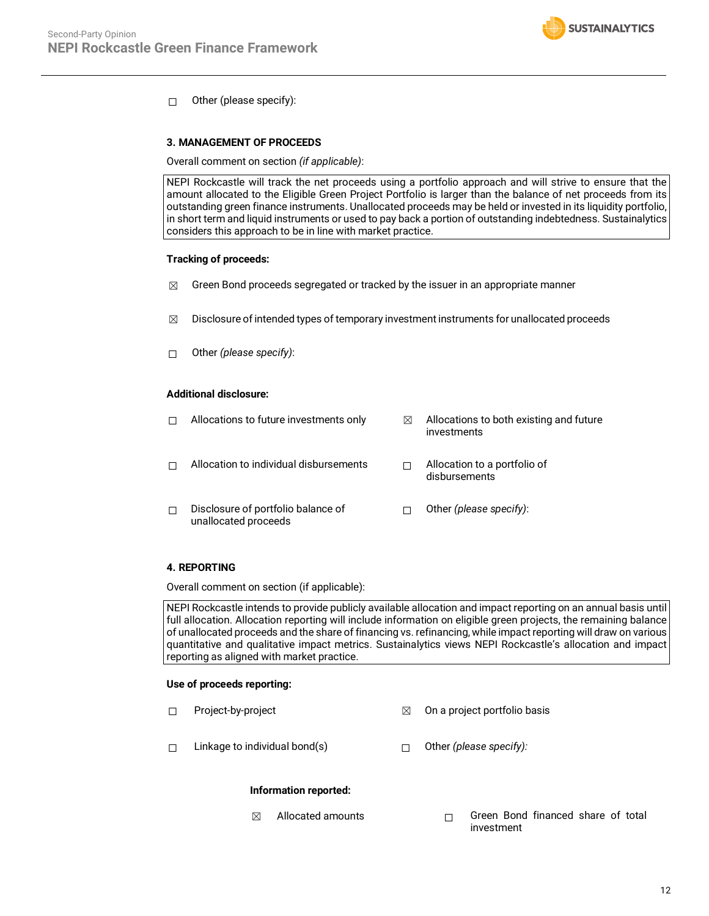### ☐ Other (please specify):

### **3. MANAGEMENT OF PROCEEDS**

Overall comment on section *(if applicable)*:

NEPI Rockcastle will track the net proceeds using a portfolio approach and will strive to ensure that the amount allocated to the Eligible Green Project Portfolio is larger than the balance of net proceeds from its outstanding green finance instruments. Unallocated proceeds may be held or invested in its liquidity portfolio, in short term and liquid instruments or used to pay back a portion of outstanding indebtedness. Sustainalytics considers this approach to be in line with market practice.

### **Tracking of proceeds:**

- $\boxtimes$  Green Bond proceeds segregated or tracked by the issuer in an appropriate manner
- $\boxtimes$  Disclosure of intended types of temporary investment instruments for unallocated proceeds
- ☐ Other *(please specify)*:

### **Additional disclosure:**

|   | Allocations to future investments only                     | ⊠ | Allocations to both existing and future<br>investments |
|---|------------------------------------------------------------|---|--------------------------------------------------------|
|   | Allocation to individual disbursements                     |   | Allocation to a portfolio of<br>disbursements          |
| П | Disclosure of portfolio balance of<br>unallocated proceeds |   | Other (please specify):                                |

### **4. REPORTING**

Overall comment on section (if applicable):

NEPI Rockcastle intends to provide publicly available allocation and impact reporting on an annual basis until full allocation. Allocation reporting will include information on eligible green projects, the remaining balance of unallocated proceeds and the share of financing vs. refinancing, while impact reporting will draw on various quantitative and qualitative impact metrics. Sustainalytics views NEPI Rockcastle's allocation and impact reporting as aligned with market practice.

### **Use of proceeds reporting:**

- ☐ Project-by-project ☒ On a project portfolio basis
- ☐ Linkage to individual bond(s) ☐ Other *(please specify):*

### **Information reported:**

☒ Allocated amounts ☐ Green Bond financed share of total investment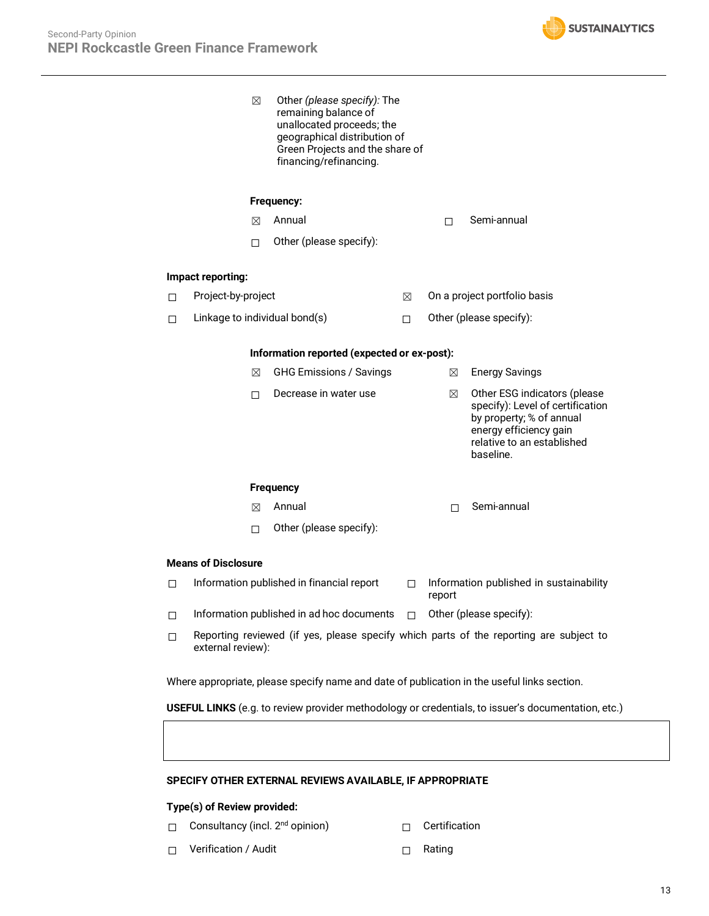

|                                                                                                    |                            | ⊠ | Other (please specify): The<br>remaining balance of<br>unallocated proceeds; the<br>geographical distribution of<br>Green Projects and the share of<br>financing/refinancing. |    |        |                                                                                                                                                                   |  |
|----------------------------------------------------------------------------------------------------|----------------------------|---|-------------------------------------------------------------------------------------------------------------------------------------------------------------------------------|----|--------|-------------------------------------------------------------------------------------------------------------------------------------------------------------------|--|
|                                                                                                    |                            |   | Frequency:                                                                                                                                                                    |    |        |                                                                                                                                                                   |  |
|                                                                                                    |                            | ⊠ | Annual                                                                                                                                                                        |    | П.     | Semi-annual                                                                                                                                                       |  |
|                                                                                                    |                            | П | Other (please specify):                                                                                                                                                       |    |        |                                                                                                                                                                   |  |
|                                                                                                    | Impact reporting:          |   |                                                                                                                                                                               |    |        |                                                                                                                                                                   |  |
| □                                                                                                  | Project-by-project         |   |                                                                                                                                                                               | ⊠  |        | On a project portfolio basis                                                                                                                                      |  |
| П                                                                                                  |                            |   | Linkage to individual bond(s)                                                                                                                                                 | П. |        | Other (please specify):                                                                                                                                           |  |
|                                                                                                    |                            |   | Information reported (expected or ex-post):                                                                                                                                   |    |        |                                                                                                                                                                   |  |
|                                                                                                    |                            | ⊠ | <b>GHG Emissions / Savings</b>                                                                                                                                                |    | ⊠      | <b>Energy Savings</b>                                                                                                                                             |  |
|                                                                                                    |                            | П | Decrease in water use                                                                                                                                                         |    | ⊠      | Other ESG indicators (please<br>specify): Level of certification<br>by property; % of annual<br>energy efficiency gain<br>relative to an established<br>baseline. |  |
|                                                                                                    |                            |   | <b>Frequency</b>                                                                                                                                                              |    |        |                                                                                                                                                                   |  |
|                                                                                                    |                            | ⊠ | Annual                                                                                                                                                                        |    | П      | Semi-annual                                                                                                                                                       |  |
|                                                                                                    |                            | П | Other (please specify):                                                                                                                                                       |    |        |                                                                                                                                                                   |  |
|                                                                                                    | <b>Means of Disclosure</b> |   |                                                                                                                                                                               |    |        |                                                                                                                                                                   |  |
| п                                                                                                  |                            |   | Information published in financial report                                                                                                                                     | П  | report | Information published in sustainability                                                                                                                           |  |
| $\Box$                                                                                             |                            |   | Information published in ad hoc documents $\Box$ Other (please specify):                                                                                                      |    |        |                                                                                                                                                                   |  |
| П                                                                                                  | external review):          |   |                                                                                                                                                                               |    |        | Reporting reviewed (if yes, please specify which parts of the reporting are subject to                                                                            |  |
| Where appropriate, please specify name and date of publication in the useful links section.        |                            |   |                                                                                                                                                                               |    |        |                                                                                                                                                                   |  |
| USEFUL LINKS (e.g. to review provider methodology or credentials, to issuer's documentation, etc.) |                            |   |                                                                                                                                                                               |    |        |                                                                                                                                                                   |  |

### **SPECIFY OTHER EXTERNAL REVIEWS AVAILABLE, IF APPROPRIATE**

### **Type(s) of Review provided:**

- □ Consultancy (incl. 2<sup>nd</sup> opinion) □ □ Certification
	-
- ☐ Verification / Audit ☐ Rating
-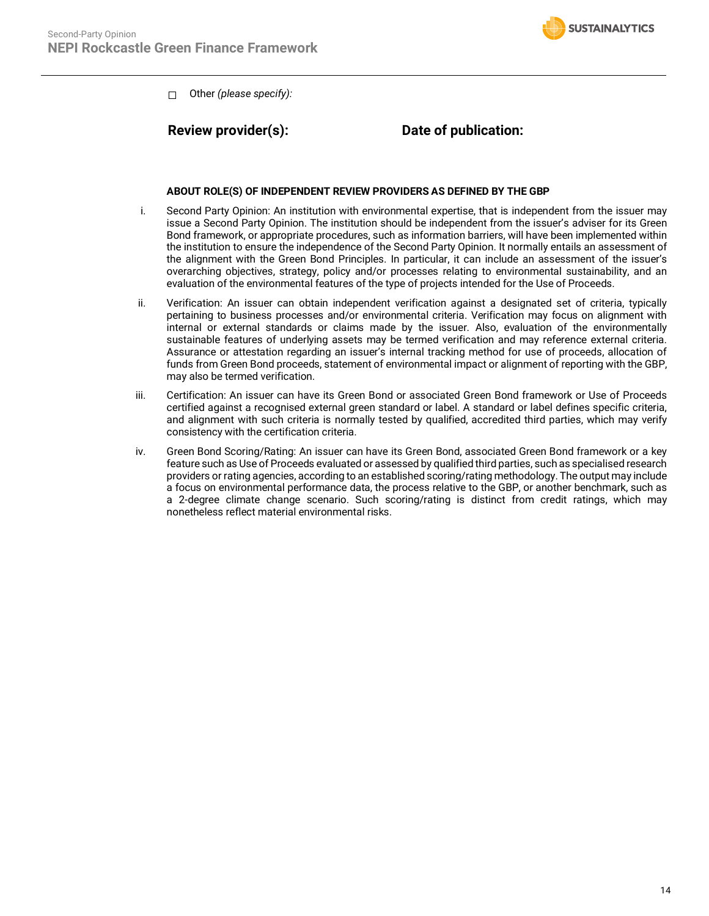

☐ Other *(please specify):*

### **Review provider(s): Date of publication:**

### **ABOUT ROLE(S) OF INDEPENDENT REVIEW PROVIDERS AS DEFINED BY THE GBP**

- i. Second Party Opinion: An institution with environmental expertise, that is independent from the issuer may issue a Second Party Opinion. The institution should be independent from the issuer's adviser for its Green Bond framework, or appropriate procedures, such as information barriers, will have been implemented within the institution to ensure the independence of the Second Party Opinion. It normally entails an assessment of the alignment with the Green Bond Principles. In particular, it can include an assessment of the issuer's overarching objectives, strategy, policy and/or processes relating to environmental sustainability, and an evaluation of the environmental features of the type of projects intended for the Use of Proceeds.
- ii. Verification: An issuer can obtain independent verification against a designated set of criteria, typically pertaining to business processes and/or environmental criteria. Verification may focus on alignment with internal or external standards or claims made by the issuer. Also, evaluation of the environmentally sustainable features of underlying assets may be termed verification and may reference external criteria. Assurance or attestation regarding an issuer's internal tracking method for use of proceeds, allocation of funds from Green Bond proceeds, statement of environmental impact or alignment of reporting with the GBP, may also be termed verification.
- iii. Certification: An issuer can have its Green Bond or associated Green Bond framework or Use of Proceeds certified against a recognised external green standard or label. A standard or label defines specific criteria, and alignment with such criteria is normally tested by qualified, accredited third parties, which may verify consistency with the certification criteria.
- iv. Green Bond Scoring/Rating: An issuer can have its Green Bond, associated Green Bond framework or a key feature such as Use of Proceeds evaluated or assessed by qualified third parties, such as specialised research providers or rating agencies, according to an established scoring/rating methodology. The output may include a focus on environmental performance data, the process relative to the GBP, or another benchmark, such as a 2-degree climate change scenario. Such scoring/rating is distinct from credit ratings, which may nonetheless reflect material environmental risks.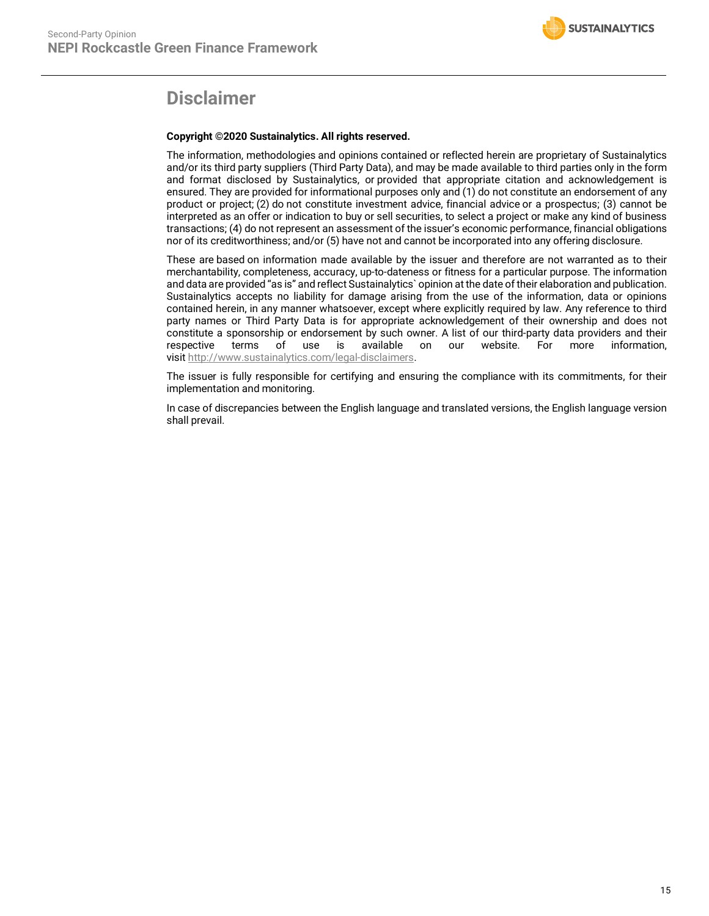

# **Disclaimer**

### **Copyright ©2020 Sustainalytics. All rights reserved.**

The information, methodologies and opinions contained or reflected herein are proprietary of Sustainalytics and/or its third party suppliers (Third Party Data), and may be made available to third parties only in the form and format disclosed by Sustainalytics, or provided that appropriate citation and acknowledgement is ensured. They are provided for informational purposes only and (1) do not constitute an endorsement of any product or project; (2) do not constitute investment advice, financial advice or a prospectus; (3) cannot be interpreted as an offer or indication to buy or sell securities, to select a project or make any kind of business transactions; (4) do not represent an assessment of the issuer's economic performance, financial obligations nor of its creditworthiness; and/or (5) have not and cannot be incorporated into any offering disclosure.

These are based on information made available by the issuer and therefore are not warranted as to their merchantability, completeness, accuracy, up-to-dateness or fitness for a particular purpose. The information and data are provided "as is" and reflect Sustainalytics` opinion at the date of their elaboration and publication. Sustainalytics accepts no liability for damage arising from the use of the information, data or opinions contained herein, in any manner whatsoever, except where explicitly required by law. Any reference to third party names or Third Party Data is for appropriate acknowledgement of their ownership and does not constitute a sponsorship or endorsement by such owner. A list of our third-party data providers and their respective terms of use is available on our website. For more information, respective terms of use is available on our website. For more information, visit http://www.sustainalytics.com/legal-disclaimers.

The issuer is fully responsible for certifying and ensuring the compliance with its commitments, for their implementation and monitoring.

In case of discrepancies between the English language and translated versions, the English language version shall prevail.